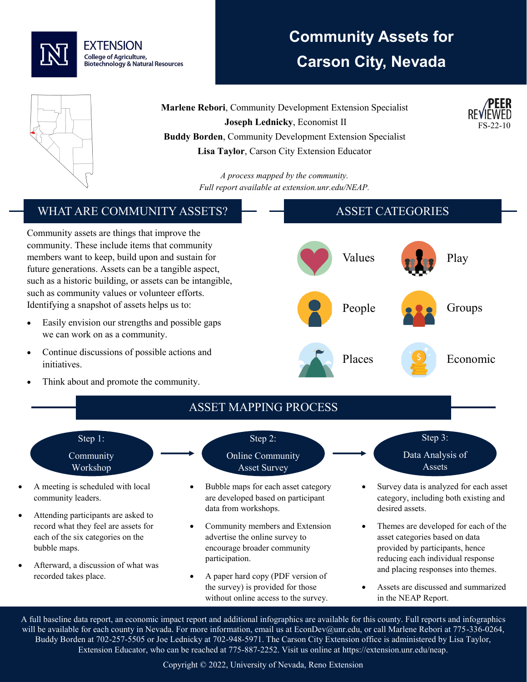

# **Community Assets for Carson City, Nevada**

FS-22-10



**Marlene Rebori**, Community Development Extension Specialist **Joseph Lednicky**, Economist II **Buddy Borden**, Community Development Extension Specialist **Lisa Taylor**, Carson City Extension Educator

> *A process mapped by the community. Full report available at extension.unr.edu/NEAP.*

#### WHAT ARE COMMUNITY ASSETS? Community assets are things that improve the community. These include items that community members want to keep, build upon and sustain for future generations. Assets can be a tangible aspect, such as a historic building, or assets can be intangible, such as community values or volunteer efforts. Identifying a snapshot of assets helps us to: Easily envision our strengths and possible gaps we can work on as a community. • Continue discussions of possible actions and initiatives. Think about and promote the community. ASSET CATEGORIES Values **Play** People **Groups** Places S Economic ASSET MAPPING PROCESS Step 1: Community Workshop • A meeting is scheduled with local community leaders. Attending participants are asked to record what they feel are assets for each of the six categories on the bubble maps. • Afterward, a discussion of what was recorded takes place. Step 2: Online Community Asset Survey • Bubble maps for each asset category are developed based on participant data from workshops. • Community members and Extension advertise the online survey to encourage broader community participation. • A paper hard copy (PDF version of the survey) is provided for those without online access to the survey. Step 3: Data Analysis of Assets • Survey data is analyzed for each asset category, including both existing and desired assets. • Themes are developed for each of the asset categories based on data provided by participants, hence reducing each individual response and placing responses into themes. • Assets are discussed and summarized in the NEAP Report.

A full baseline data report, an economic impact report and additional infographics are available for this county. Full reports and infographics will be available for each county in Nevada. For more information, email us at EconDev@unr.edu, or call Marlene Rebori at 775-336-0264, Buddy Borden at 702-257-5505 or Joe Lednicky at 702-948-5971. The Carson City Extension office is administered by Lisa Taylor, Extension Educator, who can be reached at 775-887-2252. Visit us online at https://extension.unr.edu/neap.

#### Copyright © 2022, University of Nevada, Reno Extension